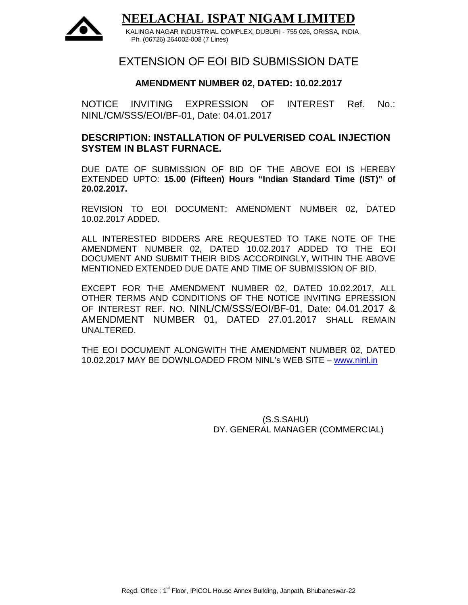

**NEELACHAL ISPAT NIGAM LIMITED**

KALINGA NAGAR INDUSTRIAL COMPLEX, DUBURI - 755 026, ORISSA, INDIA Ph. (06726) 264002-008 (7 Lines)

# EXTENSION OF EOI BID SUBMISSION DATE

#### **AMENDMENT NUMBER 02, DATED: 10.02.2017**

NOTICE INVITING EXPRESSION OF INTEREST Ref. No.: NINL/CM/SSS/EOI/BF-01, Date: 04.01.2017

**DESCRIPTION: INSTALLATION OF PULVERISED COAL INJECTION SYSTEM IN BLAST FURNACE.**

DUE DATE OF SUBMISSION OF BID OF THE ABOVE EOI IS HEREBY EXTENDED UPTO: **15.00 (Fifteen) Hours "Indian Standard Time (IST)" of 20.02.2017.**

REVISION TO EOI DOCUMENT: AMENDMENT NUMBER 02, DATED 10.02.2017 ADDED.

ALL INTERESTED BIDDERS ARE REQUESTED TO TAKE NOTE OF THE AMENDMENT NUMBER 02, DATED 10.02.2017 ADDED TO THE EOI DOCUMENT AND SUBMIT THEIR BIDS ACCORDINGLY, WITHIN THE ABOVE MENTIONED EXTENDED DUE DATE AND TIME OF SUBMISSION OF BID.

EXCEPT FOR THE AMENDMENT NUMBER 02, DATED 10.02.2017, ALL OTHER TERMS AND CONDITIONS OF THE NOTICE INVITING EPRESSION OF INTEREST REF. NO. NINL/CM/SSS/EOI/BF-01, Date: 04.01.2017 & AMENDMENT NUMBER 01, DATED 27.01.2017 SHALL REMAIN UNALTERED.

THE EOI DOCUMENT ALONGWITH THE AMENDMENT NUMBER 02, DATED 10.02.2017 MAY BE DOWNLOADED FROM NINL's WEB SITE – www.ninl.in

> (S.S.SAHU) DY. GENERAL MANAGER (COMMERCIAL)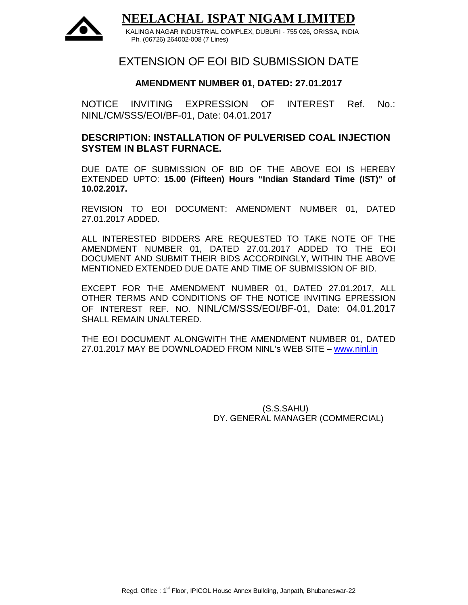

**NEELACHAL ISPAT NIGAM LIMITED**

KALINGA NAGAR INDUSTRIAL COMPLEX, DUBURI - 755 026, ORISSA, INDIA Ph. (06726) 264002-008 (7 Lines)

# EXTENSION OF EOI BID SUBMISSION DATE

# **AMENDMENT NUMBER 01, DATED: 27.01.2017**

NOTICE INVITING EXPRESSION OF INTEREST Ref. No.: NINL/CM/SSS/EOI/BF-01, Date: 04.01.2017

# **DESCRIPTION: INSTALLATION OF PULVERISED COAL INJECTION SYSTEM IN BLAST FURNACE.**

DUE DATE OF SUBMISSION OF BID OF THE ABOVE EOI IS HEREBY EXTENDED UPTO: **15.00 (Fifteen) Hours "Indian Standard Time (IST)" of 10.02.2017.**

REVISION TO EOI DOCUMENT: AMENDMENT NUMBER 01, DATED 27.01.2017 ADDED.

ALL INTERESTED BIDDERS ARE REQUESTED TO TAKE NOTE OF THE AMENDMENT NUMBER 01, DATED 27.01.2017 ADDED TO THE EOI DOCUMENT AND SUBMIT THEIR BIDS ACCORDINGLY, WITHIN THE ABOVE MENTIONED EXTENDED DUE DATE AND TIME OF SUBMISSION OF BID.

EXCEPT FOR THE AMENDMENT NUMBER 01, DATED 27.01.2017, ALL OTHER TERMS AND CONDITIONS OF THE NOTICE INVITING EPRESSION OF INTEREST REF. NO. NINL/CM/SSS/EOI/BF-01, Date: 04.01.2017 SHALL REMAIN UNALTERED.

THE EOI DOCUMENT ALONGWITH THE AMENDMENT NUMBER 01, DATED 27.01.2017 MAY BE DOWNLOADED FROM NINL's WEB SITE – www.ninl.in

> (S.S.SAHU) DY. GENERAL MANAGER (COMMERCIAL)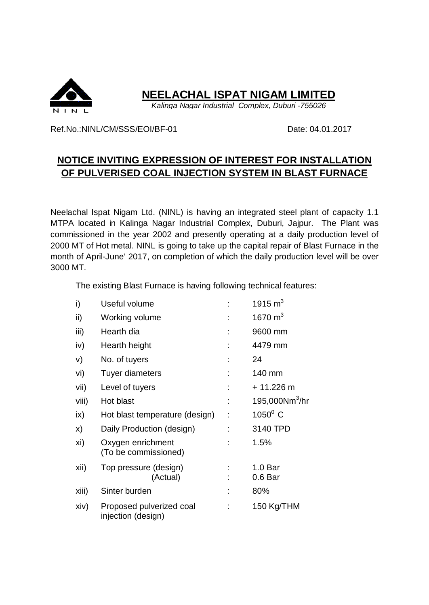

**NEELACHAL ISPAT NIGAM LIMITED**

*Kalinga Nagar Industrial Complex, Duburi -755026*

Ref.No.:NINL/CM/SSS/EOI/BF-01 Date: 04.01.2017

# **NOTICE INVITING EXPRESSION OF INTEREST FOR INSTALLATION OF PULVERISED COAL INJECTION SYSTEM IN BLAST FURNACE**

Neelachal Ispat Nigam Ltd. (NINL) is having an integrated steel plant of capacity 1.1 MTPA located in Kalinga Nagar Industrial Complex, Duburi, Jajpur. The Plant was commissioned in the year 2002 and presently operating at a daily production level of 2000 MT of Hot metal. NINL is going to take up the capital repair of Blast Furnace in the month of April-June' 2017, on completion of which the daily production level will be over 3000 MT.

The existing Blast Furnace is having following technical features:

| i)    | Useful volume                                  | 1915 $m3$                                |
|-------|------------------------------------------------|------------------------------------------|
| ii)   | Working volume                                 | 1670 $m3$                                |
| iii)  | Hearth dia                                     | 9600 mm                                  |
| iv)   | Hearth height                                  | 4479 mm                                  |
| V)    | No. of tuyers                                  | 24                                       |
| vi)   | Tuyer diameters                                | 140 mm                                   |
| vii)  | Level of tuyers                                | + 11.226 m                               |
| viii) | Hot blast                                      | 195,000 $Nm^3/hr$                        |
| ix)   | Hot blast temperature (design)                 | $1050^{\circ}$ C                         |
| x)    | Daily Production (design)                      | 3140 TPD                                 |
| xi)   | Oxygen enrichment<br>(To be commissioned)      | 1.5%                                     |
| xii)  | Top pressure (design)<br>(Actual)              | 1.0 <sub>Bar</sub><br>0.6 <sub>Bar</sub> |
| xiii) | Sinter burden                                  | 80%                                      |
| xiv)  | Proposed pulverized coal<br>injection (design) | 150 Kg/THM                               |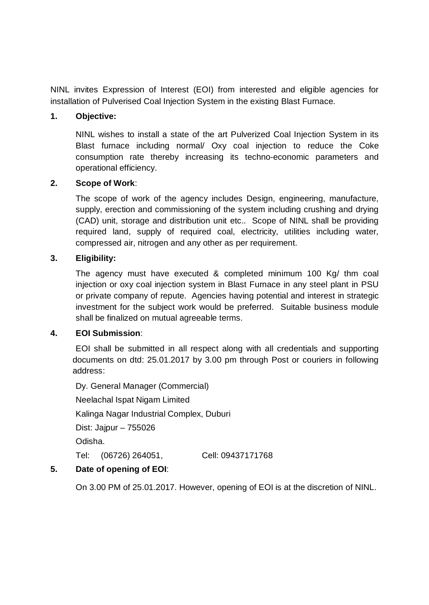NINL invites Expression of Interest (EOI) from interested and eligible agencies for installation of Pulverised Coal Injection System in the existing Blast Furnace.

# **1. Objective:**

NINL wishes to install a state of the art Pulverized Coal Injection System in its Blast furnace including normal/ Oxy coal injection to reduce the Coke consumption rate thereby increasing its techno-economic parameters and operational efficiency.

# **2. Scope of Work**:

The scope of work of the agency includes Design, engineering, manufacture, supply, erection and commissioning of the system including crushing and drying (CAD) unit, storage and distribution unit etc.. Scope of NINL shall be providing required land, supply of required coal, electricity, utilities including water, compressed air, nitrogen and any other as per requirement.

#### **3. Eligibility:**

The agency must have executed & completed minimum 100 Kg/ thm coal injection or oxy coal injection system in Blast Furnace in any steel plant in PSU or private company of repute. Agencies having potential and interest in strategic investment for the subject work would be preferred. Suitable business module shall be finalized on mutual agreeable terms.

# **4. EOI Submission**:

EOI shall be submitted in all respect along with all credentials and supporting documents on dtd: 25.01.2017 by 3.00 pm through Post or couriers in following address:

Dy. General Manager (Commercial) Neelachal Ispat Nigam Limited Kalinga Nagar Industrial Complex, Duburi Dist: Jajpur – 755026 Odisha. Tel: (06726) 264051, Cell: 09437171768

# **5. Date of opening of EOI**:

On 3.00 PM of 25.01.2017. However, opening of EOI is at the discretion of NINL.